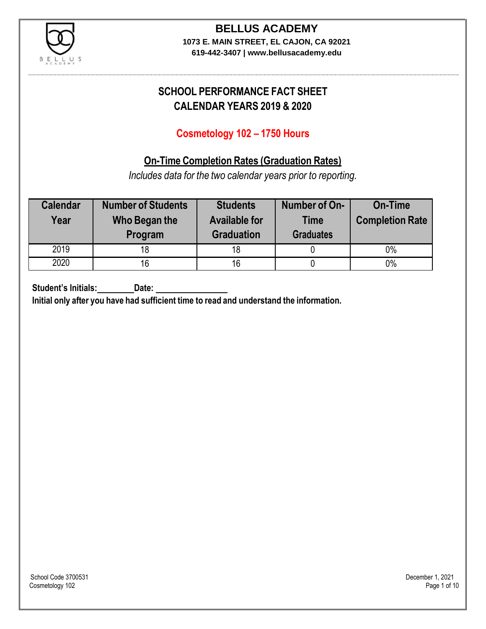

**619-442-3407 | www.bellusacademy.edu**

# **SCHOOL PERFORMANCE FACT SHEET CALENDAR YEARS 2019 & 2020**

## **Cosmetology 102 – 1750 Hours**

## **On-Time Completion Rates (Graduation Rates)**

*Includes data for the two calendar years prior to reporting.*

| <b>Calendar</b><br>Year | <b>Number of Students</b><br>Who Began the<br>Program | <b>Students</b><br><b>Available for</b><br><b>Graduation</b> | Number of On-<br><b>Time</b><br><b>Graduates</b> | <b>On-Time</b><br><b>Completion Rate</b> |
|-------------------------|-------------------------------------------------------|--------------------------------------------------------------|--------------------------------------------------|------------------------------------------|
| 2019                    | 18                                                    | 18                                                           |                                                  | 0%                                       |
| 2020                    | 16                                                    | 16                                                           |                                                  | $0\%$                                    |

**Student's Initials: Date:**

**Initial only after you have had sufficient time to read and understand the information.**

School Code 3700531 December 1, 2021<br>Cosmetology 102 Page 1 of 10 Cosmetology 102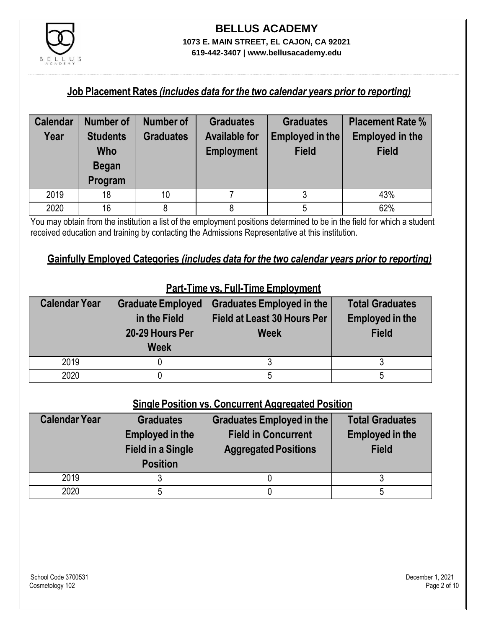

**619-442-3407 | www.bellusacademy.edu**

### **Job Placement Rates** *(includes data for the two calendar years prior to reporting)*

| <b>Calendar</b> | <b>Number of</b> | <b>Number of</b> | <b>Graduates</b>     | <b>Graduates</b> | <b>Placement Rate %</b> |
|-----------------|------------------|------------------|----------------------|------------------|-------------------------|
| Year            | <b>Students</b>  | <b>Graduates</b> | <b>Available for</b> | Employed in the  | <b>Employed in the</b>  |
|                 | Who              |                  | <b>Employment</b>    | <b>Field</b>     | <b>Field</b>            |
|                 | <b>Began</b>     |                  |                      |                  |                         |
|                 | Program          |                  |                      |                  |                         |
| 2019            | 18               | 10 <sup>1</sup>  |                      |                  | 43%                     |
| 2020            | 16               |                  |                      |                  | 62%                     |

You may obtain from the institution a list of the employment positions determined to be in the field for which a student received education and training by contacting the Admissions Representative at this institution.

## **Gainfully Employed Categories** *(includes data for the two calendar years prior to reporting)*

| <b>Calendar Year</b> | <b>Graduate Employed</b><br>in the Field<br>20-29 Hours Per<br><b>Week</b> | <b>Graduates Employed in the</b><br><b>Field at Least 30 Hours Per</b><br><b>Week</b> | <b>Total Graduates</b><br><b>Employed in the</b><br><b>Field</b> |
|----------------------|----------------------------------------------------------------------------|---------------------------------------------------------------------------------------|------------------------------------------------------------------|
| 2019                 |                                                                            |                                                                                       |                                                                  |
| 2020                 |                                                                            |                                                                                       |                                                                  |

## **Part-Time vs. Full-Time Employment**

### **Single Position vs. Concurrent Aggregated Position**

| <b>Calendar Year</b> | <b>Graduates</b><br><b>Employed in the</b><br><b>Field in a Single</b><br><b>Position</b> | Graduates Employed in the<br><b>Field in Concurrent</b><br><b>Aggregated Positions</b> | <b>Total Graduates</b><br><b>Employed in the</b><br><b>Field</b> |
|----------------------|-------------------------------------------------------------------------------------------|----------------------------------------------------------------------------------------|------------------------------------------------------------------|
| 2019                 |                                                                                           |                                                                                        |                                                                  |
| 2020                 |                                                                                           |                                                                                        |                                                                  |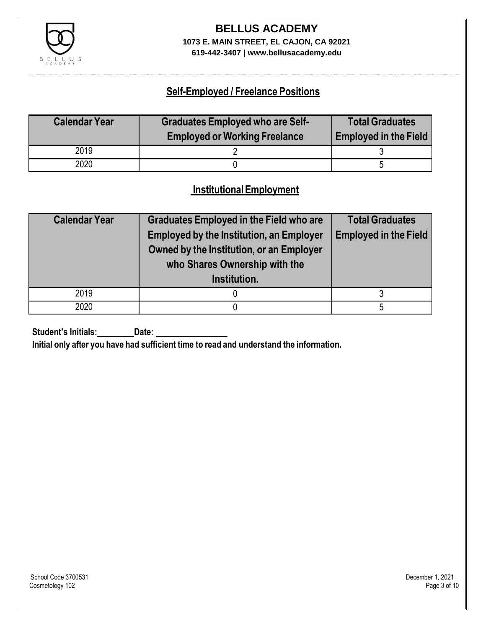

**619-442-3407 | www.bellusacademy.edu**

## **Self-Employed / Freelance Positions**

| <b>Calendar Year</b> | <b>Graduates Employed who are Self-</b><br><b>Employed or Working Freelance</b> | <b>Total Graduates</b><br><b>Employed in the Field</b> |
|----------------------|---------------------------------------------------------------------------------|--------------------------------------------------------|
| 2019                 |                                                                                 |                                                        |
| 2020                 |                                                                                 |                                                        |

## **InstitutionalEmployment**

| <b>Calendar Year</b> | <b>Graduates Employed in the Field who are</b><br><b>Employed by the Institution, an Employer</b><br>Owned by the Institution, or an Employer<br>who Shares Ownership with the<br>Institution. | <b>Total Graduates</b><br><b>Employed in the Field</b> |
|----------------------|------------------------------------------------------------------------------------------------------------------------------------------------------------------------------------------------|--------------------------------------------------------|
| 2019                 |                                                                                                                                                                                                |                                                        |
| 2020                 |                                                                                                                                                                                                |                                                        |

**Student's Initials:** Date:

**Initial only after you have had sufficient time to read and understand the information.**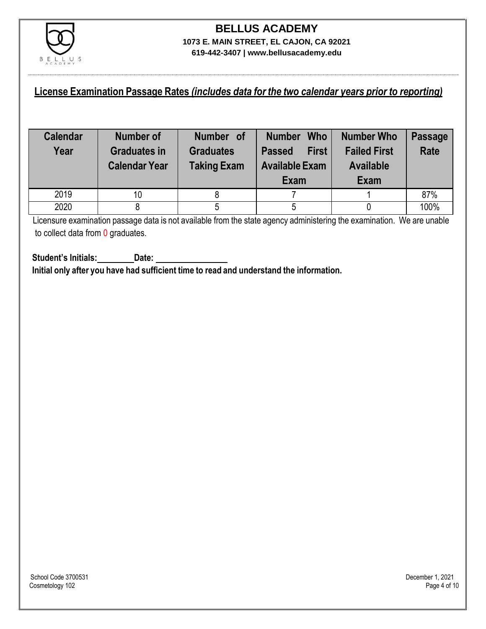

## **License Examination Passage Rates** *(includes data for the two calendar years prior to reporting)*

| <b>Calendar</b><br>Year | <b>Number of</b><br><b>Graduates in</b><br><b>Calendar Year</b> | Number of<br><b>Graduates</b><br><b>Taking Exam</b> | <b>Who</b><br><b>Number</b><br><b>First</b><br><b>Passed</b><br><b>Available Exam</b><br>Exam | <b>Number Who</b><br><b>Failed First</b><br><b>Available</b><br>Exam | <b>Passage</b><br><b>Rate</b> |
|-------------------------|-----------------------------------------------------------------|-----------------------------------------------------|-----------------------------------------------------------------------------------------------|----------------------------------------------------------------------|-------------------------------|
| 2019                    | 10                                                              |                                                     |                                                                                               |                                                                      | 87%                           |
| 2020                    |                                                                 |                                                     |                                                                                               |                                                                      | 100%                          |

Licensure examination passage data is not available from the state agency administering the examination. We are unable to collect data from 0 graduates.

**Student's Initials: Date: Initial only after you have had sufficient time to read and understand the information.**

School Code 3700531 December 1, 2021<br>Cosmetology 102 Page 4 of 10 Cosmetology 102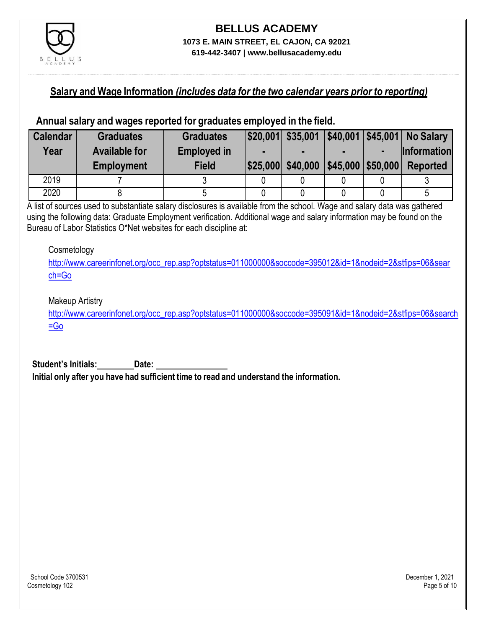

### **Salary and Wage Information** *(includes data for the two calendar years prior to reporting)*

#### **Annual salary and wages reported for graduates employed in the field.**

| <b>Calendar</b> | <b>Graduates</b>     | <b>Graduates</b>   |                   |                      | \$20,001 \$35,001 \$40,001 \$45,001 No Salary |
|-----------------|----------------------|--------------------|-------------------|----------------------|-----------------------------------------------|
| Year            | <b>Available for</b> | <b>Employed in</b> |                   |                      | <b>Information</b>                            |
|                 | <b>Employment</b>    | <b>Field</b>       | \$25,000 \$40,000 | $ $45,000$ \\$50,000 | <b>Reported</b>                               |
| 2019            |                      |                    |                   |                      |                                               |
| 2020            |                      |                    |                   |                      | ხ                                             |

A list of sources used to substantiate salary disclosures is available from the school. Wage and salary data was gathered using the following data: Graduate Employment verification. Additional wage and salary information may be found on the Bureau of Labor Statistics O\*Net websites for each discipline at:

#### **Cosmetology**

[http://www.careerinfonet.org/occ\\_rep.asp?optstatus=011000000&soccode=395012&id=1&nodeid=2&stfips=06&sear](http://www.careerinfonet.org/occ_rep.asp?optstatus=011000000&soccode=395012&id=1&nodeid=2&stfips=06&search=Go) [ch=Go](http://www.careerinfonet.org/occ_rep.asp?optstatus=011000000&soccode=395012&id=1&nodeid=2&stfips=06&search=Go)

#### Makeup Artistry

[http://www.careerinfonet.org/occ\\_rep.asp?optstatus=011000000&soccode=395091&id=1&nodeid=2&stfips=06&search](http://www.careerinfonet.org/occ_rep.asp?optstatus=011000000&soccode=395091&id=1&nodeid=2&stfips=06&search=Go) [=Go](http://www.careerinfonet.org/occ_rep.asp?optstatus=011000000&soccode=395091&id=1&nodeid=2&stfips=06&search=Go)

**Student's Initials: Date:**

**Initial only after you have had sufficient time to read and understand the information.**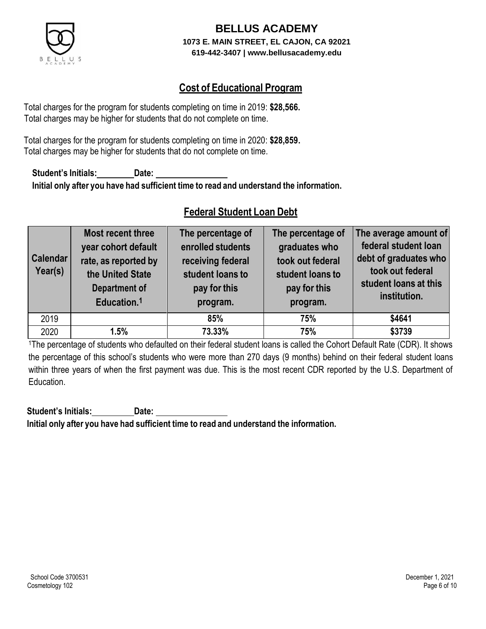

## **Cost of Educational Program**

Total charges for the program for students completing on time in 2019: **\$28,566.** Total charges may be higher for students that do not complete on time.

Total charges for the program for students completing on time in 2020: **\$28,859.** Total charges may be higher for students that do not complete on time.

**Student's Initials: Date: Initial only after you have had sufficient time to read and understand the information.**

## **Federal Student Loan Debt**

| <b>Calendar</b><br>Year(s) | Most recent three<br>year cohort default<br>rate, as reported by<br>the United State<br><b>Department of</b><br>Education. <sup>1</sup> | The percentage of<br>enrolled students<br>receiving federal<br>student loans to<br>pay for this<br>program. | The percentage of<br>graduates who<br>took out federal<br>student loans to<br>pay for this<br>program. | The average amount of<br>federal student loan<br>debt of graduates who<br>took out federal<br>student loans at this<br>institution. |
|----------------------------|-----------------------------------------------------------------------------------------------------------------------------------------|-------------------------------------------------------------------------------------------------------------|--------------------------------------------------------------------------------------------------------|-------------------------------------------------------------------------------------------------------------------------------------|
| 2019                       |                                                                                                                                         | 85%                                                                                                         | 75%                                                                                                    | \$4641                                                                                                                              |
| 2020                       | 1.5%                                                                                                                                    | 73.33%                                                                                                      | 75%                                                                                                    | \$3739                                                                                                                              |

<sup>1</sup>The percentage of students who defaulted on their federal student loans is called the Cohort Default Rate (CDR). It shows the percentage of this school's students who were more than 270 days (9 months) behind on their federal student loans within three years of when the first payment was due. This is the most recent CDR reported by the U.S. Department of Education.

**Student's Initials: Date: Initial only after you have had sufficient time to read and understand the information.**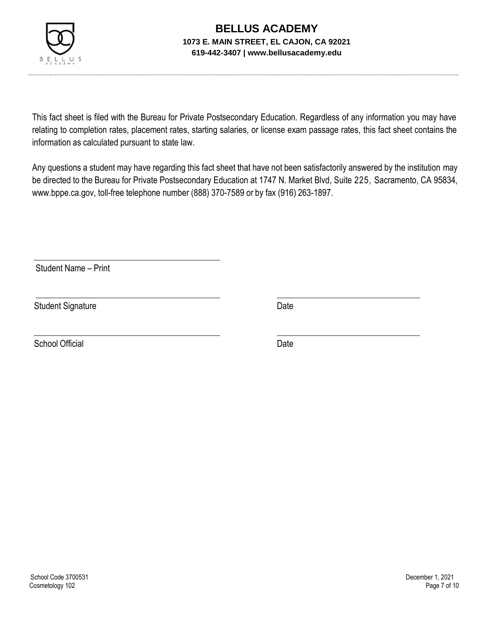

This fact sheet is filed with the Bureau for Private Postsecondary Education. Regardless of any information you may have relating to completion rates, placement rates, starting salaries, or license exam passage rates, this fact sheet contains the information as calculated pursuant to state law.

Any questions a student may have regarding this fact sheet that have not been satisfactorily answered by the institution may be directed to the Bureau for Private Postsecondary Education at 1747 N. Market Blvd, Suite 225, Sacramento, CA 95834, [www.bppe.ca.gov,](http://www.bppe.ca.gov/) toll-free telephone number (888) 370-7589 or by fax (916) 263-1897.

Student Name – Print

Student Signature Date

School Official Date Date Date Date Date Date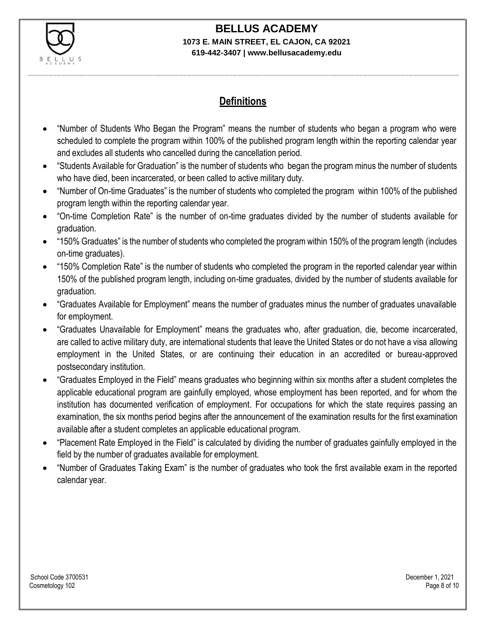

# **BELLUS ACADEMY**

#### **1073 E. MAIN STREET, EL CAJON, CA 92021 619-442-3407 | www.bellusacademy.edu**

## **Definitions**

- "Number of Students Who Began the Program" means the number of students who began a program who were scheduled to complete the program within 100% of the published program length within the reporting calendar year and excludes all students who cancelled during the cancellation period.
- "Students Available for Graduation" is the number of students who began the program minus the number of students who have died, been incarcerated, or been called to active military duty.
- "Number of On-time Graduates" is the number of students who completed the program within 100% of the published program length within the reporting calendar year.
- "On-time Completion Rate" is the number of on-time graduates divided by the number of students available for graduation.
- "150% Graduates" is the number of students who completed the program within 150% of the program length (includes on-time graduates).
- "150% Completion Rate" is the number of students who completed the program in the reported calendar year within 150% of the published program length, including on-time graduates, divided by the number of students available for graduation.
- "Graduates Available for Employment" means the number of graduates minus the number of graduates unavailable for employment.
- "Graduates Unavailable for Employment" means the graduates who, after graduation, die, become incarcerated, are called to active military duty, are international students that leave the United States or do not have a visa allowing employment in the United States, or are continuing their education in an accredited or bureau-approved postsecondary institution.
- "Graduates Employed in the Field" means graduates who beginning within six months after a student completes the applicable educational program are gainfully employed, whose employment has been reported, and for whom the institution has documented verification of employment. For occupations for which the state requires passing an examination, the six months period begins after the announcement of the examination results for the first examination available after a student completes an applicable educational program.
- "Placement Rate Employed in the Field" is calculated by dividing the number of graduates gainfully employed in the field by the number of graduates available for employment.
- "Number of Graduates Taking Exam" is the number of graduates who took the first available exam in the reported calendar year.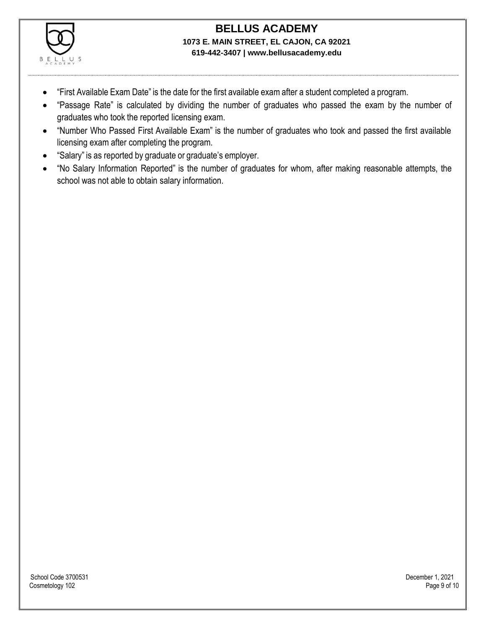

- "First Available Exam Date" is the date for the first available exam after a student completed a program.
- "Passage Rate" is calculated by dividing the number of graduates who passed the exam by the number of graduates who took the reported licensing exam.
- "Number Who Passed First Available Exam" is the number of graduates who took and passed the first available licensing exam after completing the program.
- "Salary" is as reported by graduate or graduate's employer.
- "No Salary Information Reported" is the number of graduates for whom, after making reasonable attempts, the school was not able to obtain salary information.